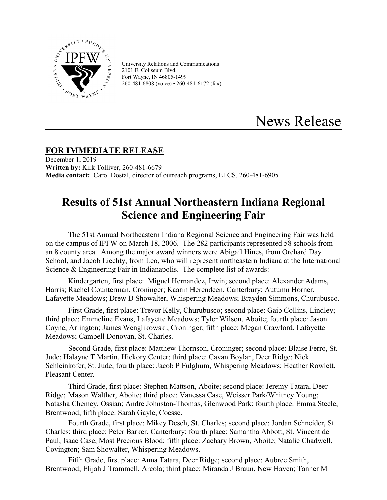

University Relations and Communications 2101 E. Coliseum Blvd. Fort Wayne, IN 46805-1499 260-481-6808 (voice) • 260-481-6172 (fax)

## News Release

## **FOR IMMEDIATE RELEASE**

December 1, 2019 **Written by:** Kirk Tolliver, 260-481-6679 **Media contact:** Carol Dostal, director of outreach programs, ETCS, 260-481-6905

## **Results of 51st Annual Northeastern Indiana Regional Science and Engineering Fair**

The 51st Annual Northeastern Indiana Regional Science and Engineering Fair was held on the campus of IPFW on March 18, 2006. The 282 participants represented 58 schools from an 8 county area. Among the major award winners were Abigail Hines, from Orchard Day School, and Jacob Liechty, from Leo, who will represent northeastern Indiana at the International Science & Engineering Fair in Indianapolis. The complete list of awards:

Kindergarten, first place: Miguel Hernandez, Irwin; second place: Alexander Adams, Harris; Rachel Counterman, Croninger; Kaarin Herendeen, Canterbury; Autumn Horner, Lafayette Meadows; Drew D Showalter, Whispering Meadows; Brayden Simmons, Churubusco.

First Grade, first place: Trevor Kelly, Churubusco; second place: Gaib Collins, Lindley; third place: Emmeline Evans, Lafayette Meadows; Tyler Wilson, Aboite; fourth place: Jason Coyne, Arlington; James Wenglikowski, Croninger; fifth place: Megan Crawford, Lafayette Meadows; Cambell Donovan, St. Charles.

Second Grade, first place: Matthew Thornson, Croninger; second place: Blaise Ferro, St. Jude; Halayne T Martin, Hickory Center; third place: Cavan Boylan, Deer Ridge; Nick Schleinkofer, St. Jude; fourth place: Jacob P Fulghum, Whispering Meadows; Heather Rowlett, Pleasant Center.

Third Grade, first place: Stephen Mattson, Aboite; second place: Jeremy Tatara, Deer Ridge; Mason Walther, Aboite; third place: Vanessa Case, Weisser Park/Whitney Young; Natasha Chemey, Ossian; Andre Johnston-Thomas, Glenwood Park; fourth place: Emma Steele, Brentwood; fifth place: Sarah Gayle, Coesse.

Fourth Grade, first place: Mikey Desch, St. Charles; second place: Jordan Schneider, St. Charles; third place: Peter Barker, Canterbury; fourth place: Samantha Abbott, St. Vincent de Paul; Isaac Case, Most Precious Blood; fifth place: Zachary Brown, Aboite; Natalie Chadwell, Covington; Sam Showalter, Whispering Meadows.

Fifth Grade, first place: Anna Tatara, Deer Ridge; second place: Aubree Smith, Brentwood; Elijah J Trammell, Arcola; third place: Miranda J Braun, New Haven; Tanner M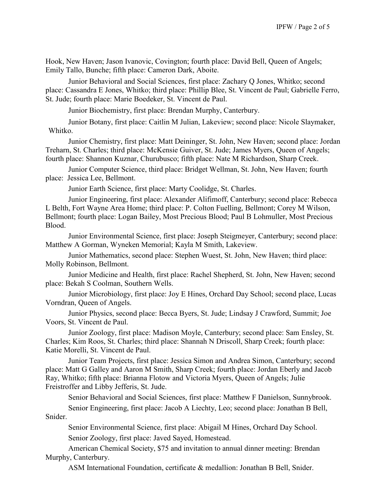Hook, New Haven; Jason Ivanovic, Covington; fourth place: David Bell, Queen of Angels; Emily Tallo, Bunche; fifth place: Cameron Dark, Aboite.

Junior Behavioral and Social Sciences, first place: Zachary Q Jones, Whitko; second place: Cassandra E Jones, Whitko; third place: Phillip Blee, St. Vincent de Paul; Gabrielle Ferro, St. Jude; fourth place: Marie Boedeker, St. Vincent de Paul.

Junior Biochemistry, first place: Brendan Murphy, Canterbury.

Junior Botany, first place: Caitlin M Julian, Lakeview; second place: Nicole Slaymaker, Whitko.

Junior Chemistry, first place: Matt Deininger, St. John, New Haven; second place: Jordan Treharn, St. Charles; third place: McKensie Guiver, St. Jude; James Myers, Queen of Angels; fourth place: Shannon Kuznar, Churubusco; fifth place: Nate M Richardson, Sharp Creek.

Junior Computer Science, third place: Bridget Wellman, St. John, New Haven; fourth place: Jessica Lee, Bellmont.

Junior Earth Science, first place: Marty Coolidge, St. Charles.

Junior Engineering, first place: Alexander Alifimoff, Canterbury; second place: Rebecca L Belth, Fort Wayne Area Home; third place: P. Colton Fuelling, Bellmont; Corey M Wilson, Bellmont; fourth place: Logan Bailey, Most Precious Blood; Paul B Lohmuller, Most Precious Blood.

Junior Environmental Science, first place: Joseph Steigmeyer, Canterbury; second place: Matthew A Gorman, Wyneken Memorial; Kayla M Smith, Lakeview.

Junior Mathematics, second place: Stephen Wuest, St. John, New Haven; third place: Molly Robinson, Bellmont.

Junior Medicine and Health, first place: Rachel Shepherd, St. John, New Haven; second place: Bekah S Coolman, Southern Wells.

Junior Microbiology, first place: Joy E Hines, Orchard Day School; second place, Lucas Vorndran, Queen of Angels.

Junior Physics, second place: Becca Byers, St. Jude; Lindsay J Crawford, Summit; Joe Voors, St. Vincent de Paul.

Junior Zoology, first place: Madison Moyle, Canterbury; second place: Sam Ensley, St. Charles; Kim Roos, St. Charles; third place: Shannah N Driscoll, Sharp Creek; fourth place: Katie Morelli, St. Vincent de Paul.

Junior Team Projects, first place: Jessica Simon and Andrea Simon, Canterbury; second place: Matt G Galley and Aaron M Smith, Sharp Creek; fourth place: Jordan Eberly and Jacob Ray, Whitko; fifth place: Brianna Flotow and Victoria Myers, Queen of Angels; Julie Freistroffer and Libby Jefferis, St. Jude.

Senior Behavioral and Social Sciences, first place: Matthew F Danielson, Sunnybrook.

Senior Engineering, first place: Jacob A Liechty, Leo; second place: Jonathan B Bell, Snider.

Senior Environmental Science, first place: Abigail M Hines, Orchard Day School. Senior Zoology, first place: Javed Sayed, Homestead.

American Chemical Society, \$75 and invitation to annual dinner meeting: Brendan Murphy, Canterbury.

ASM International Foundation, certificate & medallion: Jonathan B Bell, Snider.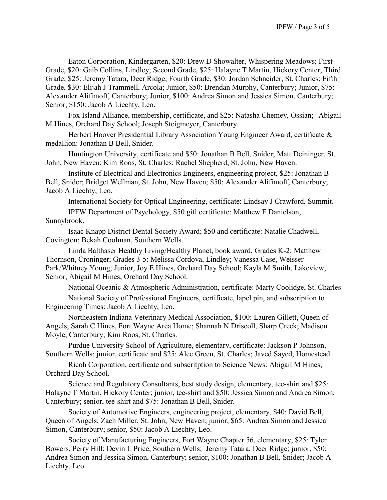Eaton Corporation, Kindergarten, \$20: Drew D Showalter, Whispering Meadows; First Grade, \$20: Gaib Collins, Lindley; Second Grade, \$25: Halayne T Martin, Hickory Center; Third Grade; \$25: Jeremy Tatara, Deer Ridge; Fourth Grade, \$30: Jordan Schneider, St. Charles; Fifth Grade, \$30: Elijah J Trammell, Arcola; Junior, \$50: Brendan Murphy, Canterbury; Junior, \$75: Alexander Alifimoff, Canterbury; Junior, \$100: Andrea Simon and Jessica Simon, Canterbury; Senior, \$150: Jacob A Liechty, Leo.

Fox Island Alliance, membership, certificate, and \$25: Natasha Chemey, Ossian; Abigail M Hines, Orchard Day School; Joseph Steigmeyer, Canterbury.

Herbert Hoover Presidential Library Association Young Engineer Award, certificate & medallion: Jonathan B Bell, Snider.

Huntington University, certificate and \$50: Jonathan B Bell, Snider; Matt Deininger, St. John, New Haven; Kim Roos, St. Charles; Rachel Shepherd, St. John, New Haven.

Institute of Electrical and Electronics Engineers, engineering project, \$25: Jonathan B Bell, Snider; Bridget Wellman, St. John, New Haven; \$50: Alexander Alifimoff, Canterbury; Jacob A Liechty, Leo.

International Society for Optical Engineering, certificate: Lindsay J Crawford, Summit.

IPFW Department of Psychology, \$50 gift certificate: Matthew F Danielson, Sunnybrook.

Isaac Knapp District Dental Society Award; \$50 and certificate: Natalie Chadwell, Covington; Bekah Coolman, Southern Wells.

Linda Balthaser Healthy Living/Healthy Planet, book award, Grades K-2: Matthew Thornson, Croninger; Grades 3-5: Melissa Cordova, Lindley; Vanessa Case, Weisser Park/Whitney Young; Junior, Joy E Hines, Orchard Day School; Kayla M Smith, Lakeview; Senior, Abigail M Hines, Orchard Day School.

National Oceanic & Atmospheric Administration, certificate: Marty Coolidge, St. Charles

National Society of Professional Engineers, certificate, lapel pin, and subscription to Engineering Times: Jacob A Liechty, Leo.

Northeastern Indiana Veterinary Medical Association, \$100: Lauren Gillett, Queen of Angels; Sarah C Hines, Fort Wayne Area Home; Shannah N Driscoll, Sharp Creek; Madison Moyle, Canterbury; Kim Roos, St. Charles.

Purdue University School of Agriculture, elementary, certificate: Jackson P Johnson, Southern Wells; junior, certificate and \$25: Alec Green, St. Charles; Javed Sayed, Homestead.

Ricoh Corporation, certificate and subscritption to Science News: Abigail M Hines, Orchard Day School.

Science and Regulatory Consultants, best study design, elementary, tee-shirt and \$25: Halayne T Martin, Hickory Center; junior, tee-shirt and \$50: Jessica Simon and Andrea Simon, Canterbury; senior, tee-shirt and \$75: Jonathan B Bell, Snider.

Society of Automotive Engineers, engineering project, elementary, \$40: David Bell, Queen of Angels; Zach Miller, St. John, New Haven; junior, \$65: Andrea Simon and Jessica Simon, Canterbury; senior, \$50: Jacob A Liechty, Leo.

Society of Manufacturing Engineers, Fort Wayne Chapter 56, elementary, \$25: Tyler Bowers, Perry Hill; Devin L Price, Southern Wells; Jeremy Tatara, Deer Ridge; junior, \$50: Andrea Simon and Jessica Simon, Canterbury; senior, \$100: Jonathan B Bell, Snider; Jacob A Liechty, Leo.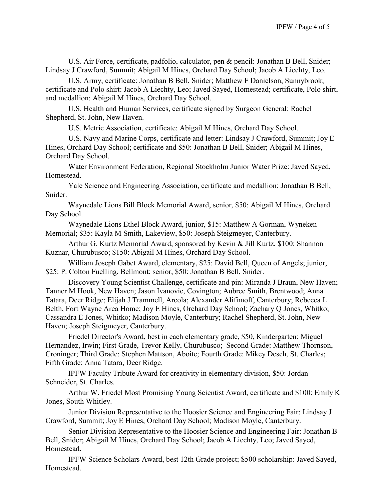U.S. Air Force, certificate, padfolio, calculator, pen & pencil: Jonathan B Bell, Snider; Lindsay J Crawford, Summit; Abigail M Hines, Orchard Day School; Jacob A Liechty, Leo.

U.S. Army, certificate: Jonathan B Bell, Snider; Matthew F Danielson, Sunnybrook; certificate and Polo shirt: Jacob A Liechty, Leo; Javed Sayed, Homestead; certificate, Polo shirt, and medallion: Abigail M Hines, Orchard Day School.

U.S. Health and Human Services, certificate signed by Surgeon General: Rachel Shepherd, St. John, New Haven.

U.S. Metric Association, certificate: Abigail M Hines, Orchard Day School.

U.S. Navy and Marine Corps, certificate and letter: Lindsay J Crawford, Summit; Joy E Hines, Orchard Day School; certificate and \$50: Jonathan B Bell, Snider; Abigail M Hines, Orchard Day School.

Water Environment Federation, Regional Stockholm Junior Water Prize: Javed Sayed, Homestead.

Yale Science and Engineering Association, certificate and medallion: Jonathan B Bell, Snider.

Waynedale Lions Bill Block Memorial Award, senior, \$50: Abigail M Hines, Orchard Day School.

Waynedale Lions Ethel Block Award, junior, \$15: Matthew A Gorman, Wyneken Memorial; \$35: Kayla M Smith, Lakeview, \$50: Joseph Steigmeyer, Canterbury.

Arthur G. Kurtz Memorial Award, sponsored by Kevin & Jill Kurtz, \$100: Shannon Kuznar, Churubusco; \$150: Abigail M Hines, Orchard Day School.

William Joseph Gabet Award, elementary, \$25: David Bell, Queen of Angels; junior, \$25: P. Colton Fuelling, Bellmont; senior, \$50: Jonathan B Bell, Snider.

Discovery Young Scientist Challenge, certificate and pin: Miranda J Braun, New Haven; Tanner M Hook, New Haven; Jason Ivanovic, Covington; Aubree Smith, Brentwood; Anna Tatara, Deer Ridge; Elijah J Trammell, Arcola; Alexander Alifimoff, Canterbury; Rebecca L Belth, Fort Wayne Area Home; Joy E Hines, Orchard Day School; Zachary Q Jones, Whitko; Cassandra E Jones, Whitko; Madison Moyle, Canterbury; Rachel Shepherd, St. John, New Haven; Joseph Steigmeyer, Canterbury.

Friedel Director's Award, best in each elementary grade, \$50, Kindergarten: Miguel Hernandez, Irwin; First Grade, Trevor Kelly, Churubusco; Second Grade: Matthew Thornson, Croninger; Third Grade: Stephen Mattson, Aboite; Fourth Grade: Mikey Desch, St. Charles; Fifth Grade: Anna Tatara, Deer Ridge.

IPFW Faculty Tribute Award for creativity in elementary division, \$50: Jordan Schneider, St. Charles.

Arthur W. Friedel Most Promising Young Scientist Award, certificate and \$100: Emily K Jones, South Whitley.

Junior Division Representative to the Hoosier Science and Engineering Fair: Lindsay J Crawford, Summit; Joy E Hines, Orchard Day School; Madison Moyle, Canterbury.

Senior Division Representative to the Hoosier Science and Engineering Fair: Jonathan B Bell, Snider; Abigail M Hines, Orchard Day School; Jacob A Liechty, Leo; Javed Sayed, Homestead.

IPFW Science Scholars Award, best 12th Grade project; \$500 scholarship: Javed Sayed, Homestead.